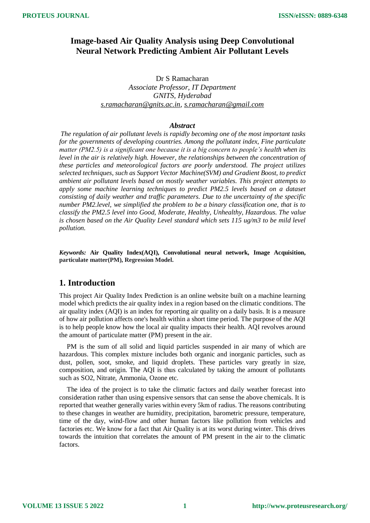# **Image-based Air Quality Analysis using Deep Convolutional Neural Network Predicting Ambient Air Pollutant Levels**

Dr S Ramacharan *Associate Professor, IT Department GNITS, Hyderabad [s.ramacharan@gnits.ac.in,](mailto:s.ramacharan@gnits.ac.in) [s.ramacharan@gmail.com](mailto:s.ramacharan@gmail.com)*

### *Abstract*

*The regulation of air pollutant levels is rapidly becoming one of the most important tasks for the governments of developing countries. Among the pollutant index, Fine particulate matter (PM2.5) is a significant one because it is a big concern to people's health when its level in the air is relatively high. However, the relationships between the concentration of these particles and meteorological factors are poorly understood. The project utilizes selected techniques, such as Support Vector Machine(SVM) and Gradient Boost, to predict ambient air pollutant levels based on mostly weather variables. This project attempts to apply some machine learning techniques to predict PM2.5 levels based on a dataset consisting of daily weather and traffic parameters. Due to the uncertainty of the specific number PM2.level, we simplified the problem to be a binary classification one, that is to classify the PM2.5 level into Good, Moderate, Healthy, Unhealthy, Hazardous. The value is chosen based on the Air Quality Level standard which sets 115 ug/m3 to be mild level pollution.*

*Keywords:* **Air Quality Index(AQI), Convolutional neural network, Image Acquisition, particulate matter(PM), Regression Model.**

# **1. Introduction**

This project Air Quality Index Prediction is an online website built on a machine learning model which predicts the air quality index in a region based on the climatic conditions. The air quality index (AQI) is an index for reporting air quality on a daily basis. It is a measure of how air pollution affects one's health within a short time period. The purpose of the AQI is to help people know how the local air quality impacts their health. AQI revolves around the amount of particulate matter (PM) present in the air.

PM is the sum of all solid and liquid particles suspended in air many of which are hazardous. This complex mixture includes both organic and inorganic particles, such as dust, pollen, [soot,](https://www.greenfacts.org/glossary/pqrs/soot.htm) smoke, and liquid droplets. These particles vary greatly in size, composition, and origin. The AQI is thus calculated by taking the amount of pollutants such as SO2, Nitrate, Ammonia, Ozone etc.

The idea of the project is to take the climatic factors and daily weather forecast into consideration rather than using expensive sensors that can sense the above chemicals. It is reported that weather generally varies within every 5km of radius. The reasons contributing to these changes in weather are humidity, precipitation, barometric pressure, temperature, time of the day, wind-flow and other human factors like pollution from vehicles and factories etc. We know for a fact that Air Quality is at its worst during winter. This drives towards the intuition that correlates the amount of PM present in the air to the climatic factors.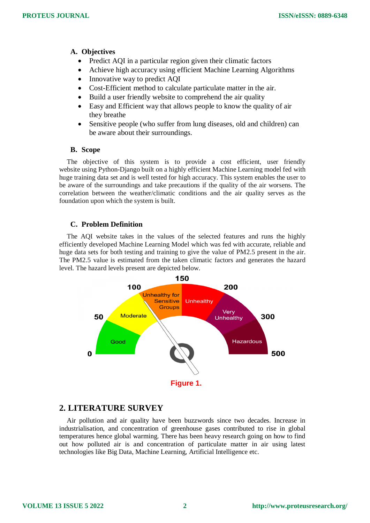## **A. Objectives**

- Predict AQI in a particular region given their climatic factors
- Achieve high accuracy using efficient Machine Learning Algorithms
- Innovative way to predict AOI
- Cost-Efficient method to calculate particulate matter in the air.
- Build a user friendly website to comprehend the air quality
- Easy and Efficient way that allows people to know the quality of air they breathe
- Sensitive people (who suffer from lung diseases, old and children) can be aware about their surroundings.

#### **B. Scope**

The objective of this system is to provide a cost efficient, user friendly website using Python-Django built on a highly efficient Machine Learning model fed with huge training data set and is well tested for high accuracy. This system enables the user to be aware of the surroundings and take precautions if the quality of the air worsens. The correlation between the weather/climatic conditions and the air quality serves as the foundation upon which the system is built.

### **C. Problem Definition**

The AQI website takes in the values of the selected features and runs the highly efficiently developed Machine Learning Model which was fed with accurate, reliable and huge data sets for both testing and training to give the value of PM2.5 present in the air. The PM2.5 value is estimated from the taken climatic factors and generates the hazard level. The hazard levels present are depicted below.



## **2. LITERATURE SURVEY**

Air pollution and air quality have been buzzwords since two decades. Increase in industrialisation, and concentration of greenhouse gases contributed to rise in global temperatures hence global warming. There has been heavy research going on how to find out how polluted air is and concentration of particulate matter in air using latest technologies like Big Data, Machine Learning, Artificial Intelligence etc.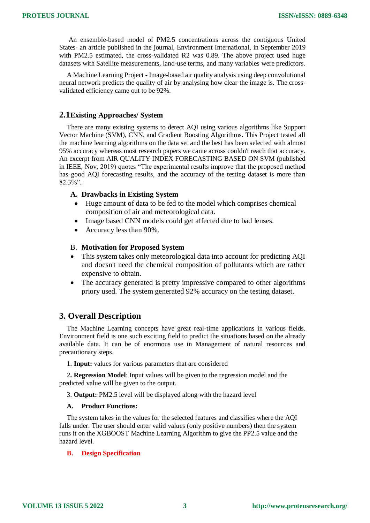An ensemble-based model of PM2.5 concentrations across the contiguous United States- an article published in the journal, Environment International, in September 2019 with PM2.5 estimated, the cross-validated R2 was 0.89. The above project used huge datasets with Satellite measurements, land-use terms, and many variables were predictors.

A Machine Learning Project - Image-based air quality analysis using deep convolutional neural network predicts the quality of air by analysing how clear the image is. The crossvalidated efficiency came out to be 92%.

### **2.1Existing Approaches/ System**

There are many existing systems to detect AQI using various algorithms like Support Vector Machine (SVM), CNN, and Gradient Boosting Algorithms. This Project tested all the machine learning algorithms on the data set and the best has been selected with almost 95% accuracy whereas most research papers we came across couldn't reach that accuracy. An excerpt from AIR QUALITY INDEX FORECASTING BASED ON SVM (published in IEEE, Nov, 2019) quotes "The experimental results improve that the proposed method has good AQI forecasting results, and the accuracy of the testing dataset is more than  $82.3\%$ ".

### **A. Drawbacks in Existing System**

- Huge amount of data to be fed to the model which comprises chemical composition of air and meteorological data.
- Image based CNN models could get affected due to bad lenses.
- Accuracy less than 90%.

#### B. **Motivation for Proposed System**

- This system takes only meteorological data into account for predicting AQI and doesn't need the chemical composition of pollutants which are rather expensive to obtain.
- The accuracy generated is pretty impressive compared to other algorithms priory used. The system generated 92% accuracy on the testing dataset.

## **3. Overall Description**

The Machine Learning concepts have great real-time applications in various fields. Environment field is one such exciting field to predict the situations based on the already available data. It can be of enormous use in Management of natural resources and precautionary steps.

1. **Input:** values for various parameters that are considered

2**. Regression Model**: Input values will be given to the regression model and the predicted value will be given to the output.

3. **Output:** PM2.5 level will be displayed along with the hazard level

#### **A. Product Functions:**

The system takes in the values for the selected features and classifies where the AQI falls under. The user should enter valid values (only positive numbers) then the system runs it on the XGBOOST Machine Learning Algorithm to give the PP2.5 value and the hazard level.

#### **B. Design Specification**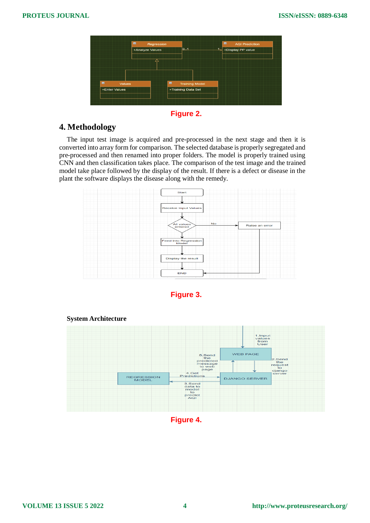|                                                  | +Analyze Values | 01                                                            | ادك<br>+Display PP value |
|--------------------------------------------------|-----------------|---------------------------------------------------------------|--------------------------|
|                                                  | △               |                                                               |                          |
|                                                  |                 |                                                               |                          |
|                                                  |                 |                                                               |                          |
| $\blacksquare$<br><b>Values</b><br>+Enter Values |                 | $\blacksquare$<br><b>Training Model</b><br>+Training Data Set |                          |

**Figure 2.**

# **4. Methodology**

The input test image is acquired and pre-processed in the next stage and then it is converted into array form for comparison. The selected database is properly segregated and pre-processed and then renamed into proper folders. The model is properly trained using CNN and then classification takes place. The comparison of the test image and the trained model take place followed by the display of the result. If there is a defect or disease in the plant the software displays the disease along with the remedy.









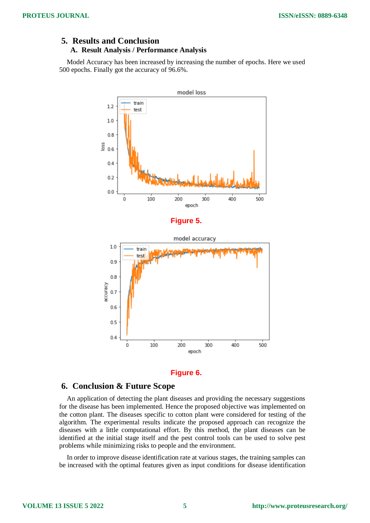## **5. Results and Conclusion A. Result Analysis / Performance Analysis**

Model Accuracy has been increased by increasing the number of epochs. Here we used 500 epochs. Finally got the accuracy of 96.6%.



#### **Figure 6.**

## **6. Conclusion & Future Scope**

An application of detecting the plant diseases and providing the necessary suggestions for the disease has been implemented. Hence the proposed objective was implemented on the cotton plant. The diseases specific to cotton plant were considered for testing of the algorithm. The experimental results indicate the proposed approach can recognize the diseases with a little computational effort. By this method, the plant diseases can be identified at the initial stage itself and the pest control tools can be used to solve pest problems while minimizing risks to people and the environment.

In order to improve disease identification rate at various stages, the training samples can be increased with the optimal features given as input conditions for disease identification